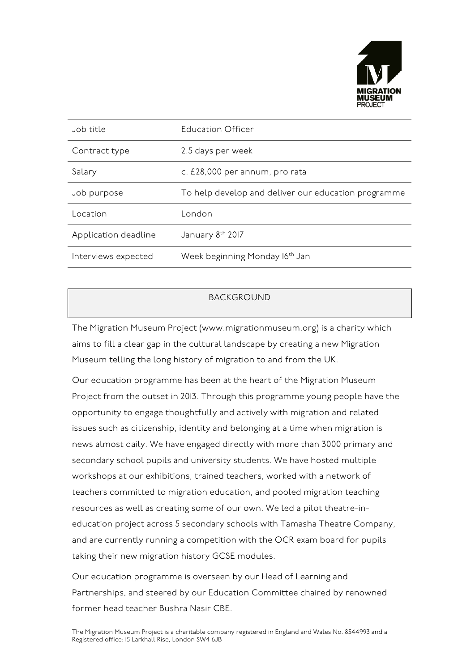

| Job title            | Education Officer                                   |
|----------------------|-----------------------------------------------------|
| Contract type        | 2.5 days per week                                   |
| Salary               | c. £28,000 per annum, pro rata                      |
| Job purpose          | To help develop and deliver our education programme |
| Location             | London                                              |
| Application deadline | January 8th 2017                                    |
| Interviews expected  | Week beginning Monday 16 <sup>th</sup> Jan          |

## BACKGROUND

The Migration Museum Project (www.migrationmuseum.org) is a charity which aims to fill a clear gap in the cultural landscape by creating a new Migration Museum telling the long history of migration to and from the UK.

Our education programme has been at the heart of the Migration Museum Project from the outset in 2013. Through this programme young people have the opportunity to engage thoughtfully and actively with migration and related issues such as citizenship, identity and belonging at a time when migration is news almost daily. We have engaged directly with more than 3000 primary and secondary school pupils and university students. We have hosted multiple workshops at our exhibitions, trained teachers, worked with a network of teachers committed to migration education, and pooled migration teaching resources as well as creating some of our own. We led a pilot theatre-ineducation project across 5 secondary schools with Tamasha Theatre Company, and are currently running a competition with the OCR exam board for pupils taking their new migration history GCSE modules.

Our education programme is overseen by our Head of Learning and Partnerships, and steered by our Education Committee chaired by renowned former head teacher Bushra Nasir CBE.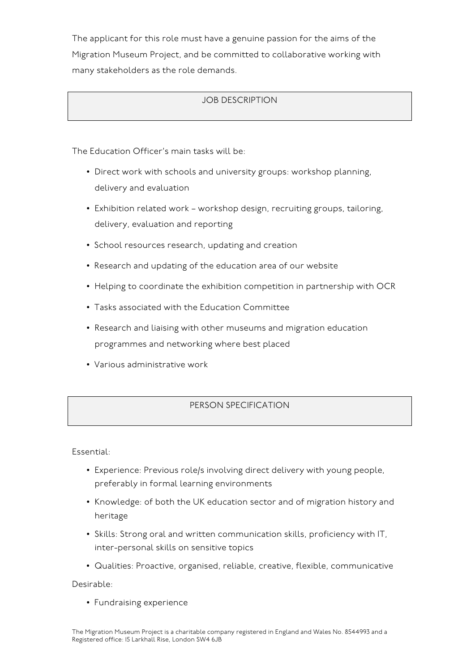The applicant for this role must have a genuine passion for the aims of the Migration Museum Project, and be committed to collaborative working with many stakeholders as the role demands.

## JOB DESCRIPTION

The Education Officer's main tasks will be:

- Direct work with schools and university groups: workshop planning, delivery and evaluation
- Exhibition related work workshop design, recruiting groups, tailoring, delivery, evaluation and reporting
- School resources research, updating and creation
- Research and updating of the education area of our website
- Helping to coordinate the exhibition competition in partnership with OCR
- Tasks associated with the Education Committee
- Research and liaising with other museums and migration education programmes and networking where best placed
- Various administrative work

## PERSON SPECIFICATION

Essential:

- Experience: Previous role/s involving direct delivery with young people, preferably in formal learning environments
- Knowledge: of both the UK education sector and of migration history and heritage
- Skills: Strong oral and written communication skills, proficiency with IT, inter-personal skills on sensitive topics
- Qualities: Proactive, organised, reliable, creative, flexible, communicative

Desirable:

• Fundraising experience